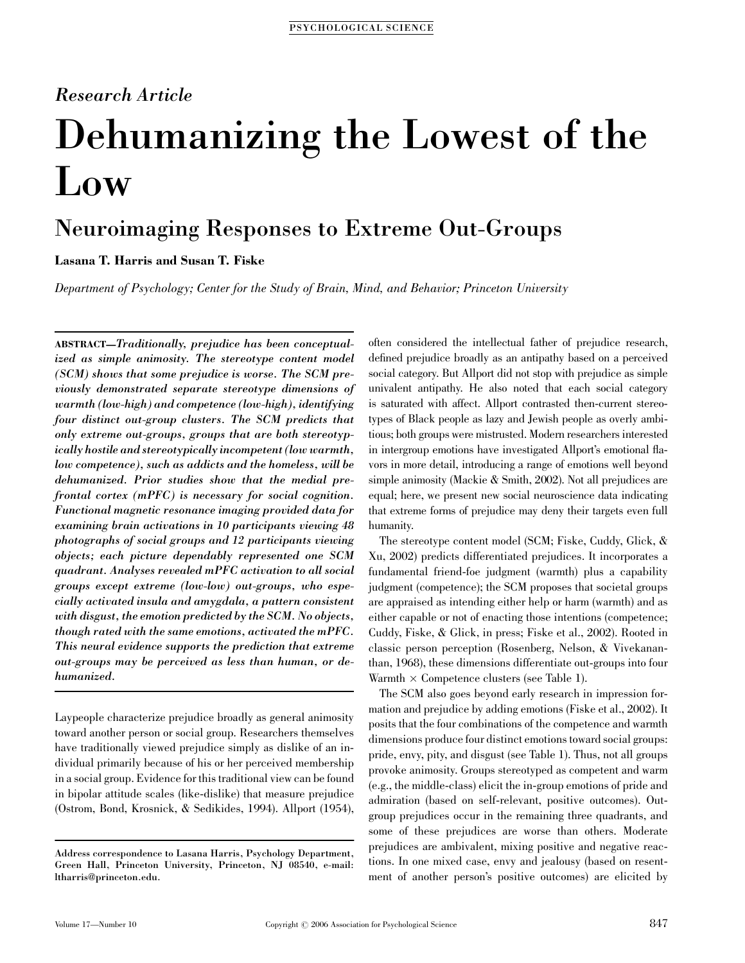# Research Article Dehumanizing the Lowest of the Low

# Neuroimaging Responses to Extreme Out-Groups

Lasana T. Harris and Susan T. Fiske

Department of Psychology; Center for the Study of Brain, Mind, and Behavior; Princeton University

ABSTRACT—Traditionally, prejudice has been conceptualized as simple animosity. The stereotype content model (SCM) shows that some prejudice is worse. The SCM previously demonstrated separate stereotype dimensions of warmth (low-high) and competence (low-high), identifying four distinct out-group clusters. The SCM predicts that only extreme out-groups, groups that are both stereotypically hostile and stereotypically incompetent (low warmth, low competence), such as addicts and the homeless, will be dehumanized. Prior studies show that the medial prefrontal cortex (mPFC) is necessary for social cognition. Functional magnetic resonance imaging provided data for examining brain activations in 10 participants viewing 48 photographs of social groups and 12 participants viewing objects; each picture dependably represented one SCM quadrant. Analyses revealed mPFC activation to all social groups except extreme (low-low) out-groups, who especially activated insula and amygdala, a pattern consistent with disgust, the emotion predicted by the SCM. No objects, though rated with the same emotions, activated the mPFC. This neural evidence supports the prediction that extreme out-groups may be perceived as less than human, or dehumanized.

Laypeople characterize prejudice broadly as general animosity toward another person or social group. Researchers themselves have traditionally viewed prejudice simply as dislike of an individual primarily because of his or her perceived membership in a social group. Evidence for this traditional view can be found in bipolar attitude scales (like-dislike) that measure prejudice (Ostrom, Bond, Krosnick, & Sedikides, 1994). Allport (1954),

often considered the intellectual father of prejudice research, defined prejudice broadly as an antipathy based on a perceived social category. But Allport did not stop with prejudice as simple univalent antipathy. He also noted that each social category is saturated with affect. Allport contrasted then-current stereotypes of Black people as lazy and Jewish people as overly ambitious; both groups were mistrusted. Modern researchers interested in intergroup emotions have investigated Allport's emotional flavors in more detail, introducing a range of emotions well beyond simple animosity (Mackie & Smith, 2002). Not all prejudices are equal; here, we present new social neuroscience data indicating that extreme forms of prejudice may deny their targets even full humanity.

The stereotype content model (SCM; Fiske, Cuddy, Glick, & Xu, 2002) predicts differentiated prejudices. It incorporates a fundamental friend-foe judgment (warmth) plus a capability judgment (competence); the SCM proposes that societal groups are appraised as intending either help or harm (warmth) and as either capable or not of enacting those intentions (competence; Cuddy, Fiske, & Glick, in press; Fiske et al., 2002). Rooted in classic person perception (Rosenberg, Nelson, & Vivekananthan, 1968), these dimensions differentiate out-groups into four Warmth  $\times$  Competence clusters (see Table 1).

The SCM also goes beyond early research in impression formation and prejudice by adding emotions (Fiske et al., 2002). It posits that the four combinations of the competence and warmth dimensions produce four distinct emotions toward social groups: pride, envy, pity, and disgust (see Table 1). Thus, not all groups provoke animosity. Groups stereotyped as competent and warm (e.g., the middle-class) elicit the in-group emotions of pride and admiration (based on self-relevant, positive outcomes). Outgroup prejudices occur in the remaining three quadrants, and some of these prejudices are worse than others. Moderate prejudices are ambivalent, mixing positive and negative reactions. In one mixed case, envy and jealousy (based on resentment of another person's positive outcomes) are elicited by

Address correspondence to Lasana Harris, Psychology Department, Green Hall, Princeton University, Princeton, NJ 08540, e-mail: ltharris@princeton.edu.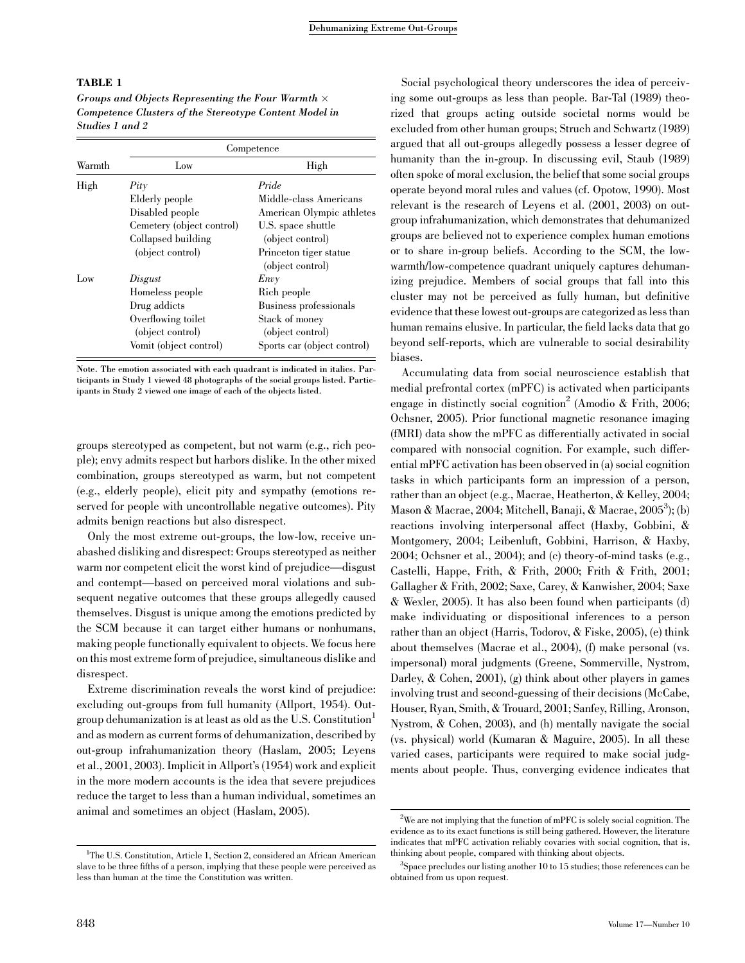#### TABLE 1

Groups and Objects Representing the Four Warmth  $\times$ Competence Clusters of the Stereotype Content Model in Studies 1 and 2

|        | Competence                             |                                            |  |
|--------|----------------------------------------|--------------------------------------------|--|
| Warmth | Low                                    | High                                       |  |
| High   | Pity                                   | Pride                                      |  |
|        | Elderly people                         | Middle-class Americans                     |  |
|        | Disabled people                        | American Olympic athletes                  |  |
|        | Cemetery (object control)              | U.S. space shuttle                         |  |
|        | Collapsed building                     | (object control)                           |  |
|        | (object control)                       | Princeton tiger statue<br>(object control) |  |
| Low    | Disgust                                | Envy                                       |  |
|        | Homeless people                        | Rich people                                |  |
|        | Drug addicts                           | Business professionals                     |  |
|        | Overflowing toilet<br>(object control) | Stack of money<br>(object control)         |  |
|        | Vomit (object control)                 | Sports car (object control)                |  |

Note. The emotion associated with each quadrant is indicated in italics. Participants in Study 1 viewed 48 photographs of the social groups listed. Participants in Study 2 viewed one image of each of the objects listed.

groups stereotyped as competent, but not warm (e.g., rich people); envy admits respect but harbors dislike. In the other mixed combination, groups stereotyped as warm, but not competent (e.g., elderly people), elicit pity and sympathy (emotions reserved for people with uncontrollable negative outcomes). Pity admits benign reactions but also disrespect.

Only the most extreme out-groups, the low-low, receive unabashed disliking and disrespect: Groups stereotyped as neither warm nor competent elicit the worst kind of prejudice—disgust and contempt—based on perceived moral violations and subsequent negative outcomes that these groups allegedly caused themselves. Disgust is unique among the emotions predicted by the SCM because it can target either humans or nonhumans, making people functionally equivalent to objects. We focus here on this most extreme form of prejudice, simultaneous dislike and disrespect.

Extreme discrimination reveals the worst kind of prejudice: excluding out-groups from full humanity (Allport, 1954). Outgroup dehumanization is at least as old as the U.S. Constitution<sup>1</sup> and as modern as current forms of dehumanization, described by out-group infrahumanization theory (Haslam, 2005; Leyens et al., 2001, 2003). Implicit in Allport's (1954) work and explicit in the more modern accounts is the idea that severe prejudices reduce the target to less than a human individual, sometimes an animal and sometimes an object (Haslam, 2005).

Social psychological theory underscores the idea of perceiving some out-groups as less than people. Bar-Tal (1989) theorized that groups acting outside societal norms would be excluded from other human groups; Struch and Schwartz (1989) argued that all out-groups allegedly possess a lesser degree of humanity than the in-group. In discussing evil, Staub (1989) often spoke of moral exclusion, the belief that some social groups operate beyond moral rules and values (cf. Opotow, 1990). Most relevant is the research of Leyens et al. (2001, 2003) on outgroup infrahumanization, which demonstrates that dehumanized groups are believed not to experience complex human emotions or to share in-group beliefs. According to the SCM, the lowwarmth/low-competence quadrant uniquely captures dehumanizing prejudice. Members of social groups that fall into this cluster may not be perceived as fully human, but definitive evidence that these lowest out-groups are categorized as less than human remains elusive. In particular, the field lacks data that go beyond self-reports, which are vulnerable to social desirability biases.

Accumulating data from social neuroscience establish that medial prefrontal cortex (mPFC) is activated when participants engage in distinctly social cognition<sup>2</sup> (Amodio & Frith, 2006; Ochsner, 2005). Prior functional magnetic resonance imaging (fMRI) data show the mPFC as differentially activated in social compared with nonsocial cognition. For example, such differential mPFC activation has been observed in (a) social cognition tasks in which participants form an impression of a person, rather than an object (e.g., Macrae, Heatherton, & Kelley, 2004; Mason & Macrae, 2004; Mitchell, Banaji, & Macrae, 2005 $^3$ ); (b) reactions involving interpersonal affect (Haxby, Gobbini, & Montgomery, 2004; Leibenluft, Gobbini, Harrison, & Haxby, 2004; Ochsner et al., 2004); and (c) theory-of-mind tasks (e.g., Castelli, Happe, Frith, & Frith, 2000; Frith & Frith, 2001; Gallagher & Frith, 2002; Saxe, Carey, & Kanwisher, 2004; Saxe & Wexler, 2005). It has also been found when participants (d) make individuating or dispositional inferences to a person rather than an object (Harris, Todorov, & Fiske, 2005), (e) think about themselves (Macrae et al., 2004), (f) make personal (vs. impersonal) moral judgments (Greene, Sommerville, Nystrom, Darley, & Cohen, 2001), (g) think about other players in games involving trust and second-guessing of their decisions (McCabe, Houser, Ryan, Smith, & Trouard, 2001; Sanfey, Rilling, Aronson, Nystrom, & Cohen, 2003), and (h) mentally navigate the social (vs. physical) world (Kumaran & Maguire, 2005). In all these varied cases, participants were required to make social judgments about people. Thus, converging evidence indicates that

<sup>&</sup>lt;sup>1</sup>The U.S. Constitution, Article 1, Section 2, considered an African American slave to be three fifths of a person, implying that these people were perceived as less than human at the time the Constitution was written.

 $^{2}$ We are not implying that the function of mPFC is solely social cognition. The evidence as to its exact functions is still being gathered. However, the literature indicates that mPFC activation reliably covaries with social cognition, that is, thinking about people, compared with thinking about objects.

 ${}^{3}$ Space precludes our listing another 10 to 15 studies; those references can be obtained from us upon request.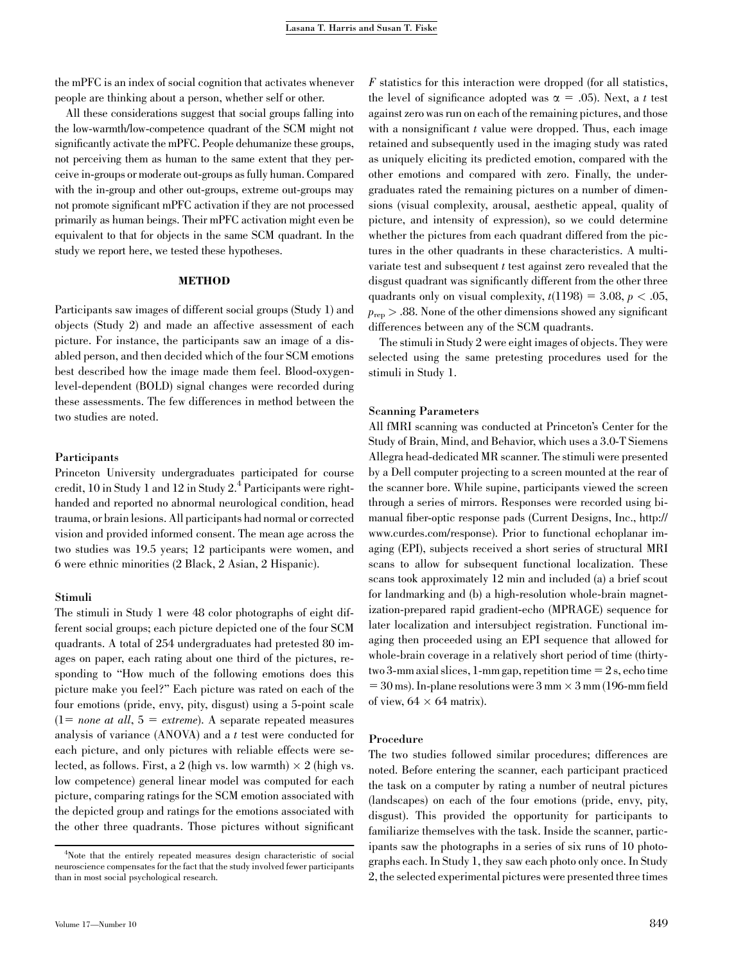the mPFC is an index of social cognition that activates whenever people are thinking about a person, whether self or other.

All these considerations suggest that social groups falling into the low-warmth/low-competence quadrant of the SCM might not significantly activate the mPFC. People dehumanize these groups, not perceiving them as human to the same extent that they perceive in-groups or moderate out-groups as fully human. Compared with the in-group and other out-groups, extreme out-groups may not promote significant mPFC activation if they are not processed primarily as human beings. Their mPFC activation might even be equivalent to that for objects in the same SCM quadrant. In the study we report here, we tested these hypotheses.

# **METHOD**

Participants saw images of different social groups (Study 1) and objects (Study 2) and made an affective assessment of each picture. For instance, the participants saw an image of a disabled person, and then decided which of the four SCM emotions best described how the image made them feel. Blood-oxygenlevel-dependent (BOLD) signal changes were recorded during these assessments. The few differences in method between the two studies are noted.

#### Participants

Princeton University undergraduates participated for course credit, 10 in Study 1 and 12 in Study  $2.^4$  Participants were righthanded and reported no abnormal neurological condition, head trauma, or brain lesions. All participants had normal or corrected vision and provided informed consent. The mean age across the two studies was 19.5 years; 12 participants were women, and 6 were ethnic minorities (2 Black, 2 Asian, 2 Hispanic).

### Stimuli

The stimuli in Study 1 were 48 color photographs of eight different social groups; each picture depicted one of the four SCM quadrants. A total of 254 undergraduates had pretested 80 images on paper, each rating about one third of the pictures, responding to "How much of the following emotions does this picture make you feel?'' Each picture was rated on each of the four emotions (pride, envy, pity, disgust) using a 5-point scale  $(1=$  none at all,  $5 =$  extreme). A separate repeated measures analysis of variance (ANOVA) and a t test were conducted for each picture, and only pictures with reliable effects were selected, as follows. First, a 2 (high vs. low warmth)  $\times$  2 (high vs. low competence) general linear model was computed for each picture, comparing ratings for the SCM emotion associated with the depicted group and ratings for the emotions associated with the other three quadrants. Those pictures without significant

F statistics for this interaction were dropped (for all statistics, the level of significance adopted was  $\alpha = .05$ ). Next, a t test against zero was run on each of the remaining pictures, and those with a nonsignificant  $t$  value were dropped. Thus, each image retained and subsequently used in the imaging study was rated as uniquely eliciting its predicted emotion, compared with the other emotions and compared with zero. Finally, the undergraduates rated the remaining pictures on a number of dimensions (visual complexity, arousal, aesthetic appeal, quality of picture, and intensity of expression), so we could determine whether the pictures from each quadrant differed from the pictures in the other quadrants in these characteristics. A multivariate test and subsequent  $t$  test against zero revealed that the disgust quadrant was significantly different from the other three quadrants only on visual complexity,  $t(1198) = 3.08$ ,  $p < .05$ ,  $p_{\text{rep}}$  > .88. None of the other dimensions showed any significant differences between any of the SCM quadrants.

The stimuli in Study 2 were eight images of objects. They were selected using the same pretesting procedures used for the stimuli in Study 1.

# Scanning Parameters

All fMRI scanning was conducted at Princeton's Center for the Study of Brain, Mind, and Behavior, which uses a 3.0-T Siemens Allegra head-dedicated MR scanner. The stimuli were presented by a Dell computer projecting to a screen mounted at the rear of the scanner bore. While supine, participants viewed the screen through a series of mirrors. Responses were recorded using bimanual fiber-optic response pads (Current Designs, Inc., http:// www.curdes.com/response). Prior to functional echoplanar imaging (EPI), subjects received a short series of structural MRI scans to allow for subsequent functional localization. These scans took approximately 12 min and included (a) a brief scout for landmarking and (b) a high-resolution whole-brain magnetization-prepared rapid gradient-echo (MPRAGE) sequence for later localization and intersubject registration. Functional imaging then proceeded using an EPI sequence that allowed for whole-brain coverage in a relatively short period of time (thirtytwo 3-mm axial slices, 1-mm gap, repetition time  $= 2$  s, echo time  $=$  30 ms). In-plane resolutions were 3 mm  $\times$  3 mm (196-mm field of view,  $64 \times 64$  matrix).

# Procedure

The two studies followed similar procedures; differences are noted. Before entering the scanner, each participant practiced the task on a computer by rating a number of neutral pictures (landscapes) on each of the four emotions (pride, envy, pity, disgust). This provided the opportunity for participants to familiarize themselves with the task. Inside the scanner, participants saw the photographs in a series of six runs of 10 photographs each. In Study 1, they saw each photo only once. In Study 2, the selected experimental pictures were presented three times

<sup>&</sup>lt;sup>4</sup>Note that the entirely repeated measures design characteristic of social neuroscience compensates for the fact that the study involved fewer participants than in most social psychological research.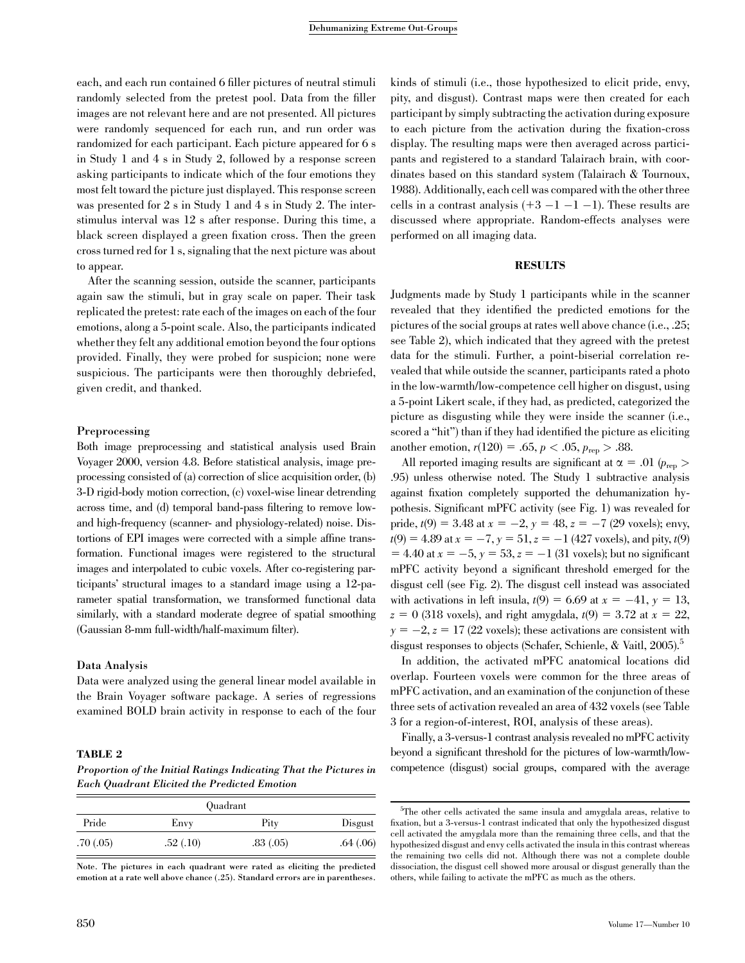each, and each run contained 6 filler pictures of neutral stimuli randomly selected from the pretest pool. Data from the filler images are not relevant here and are not presented. All pictures were randomly sequenced for each run, and run order was randomized for each participant. Each picture appeared for 6 s in Study 1 and 4 s in Study 2, followed by a response screen asking participants to indicate which of the four emotions they most felt toward the picture just displayed. This response screen was presented for 2 s in Study 1 and 4 s in Study 2. The interstimulus interval was 12 s after response. During this time, a black screen displayed a green fixation cross. Then the green cross turned red for 1 s, signaling that the next picture was about to appear.

After the scanning session, outside the scanner, participants again saw the stimuli, but in gray scale on paper. Their task replicated the pretest: rate each of the images on each of the four emotions, along a 5-point scale. Also, the participants indicated whether they felt any additional emotion beyond the four options provided. Finally, they were probed for suspicion; none were suspicious. The participants were then thoroughly debriefed, given credit, and thanked.

#### Preprocessing

Both image preprocessing and statistical analysis used Brain Voyager 2000, version 4.8. Before statistical analysis, image preprocessing consisted of (a) correction of slice acquisition order, (b) 3-D rigid-body motion correction, (c) voxel-wise linear detrending across time, and (d) temporal band-pass filtering to remove lowand high-frequency (scanner- and physiology-related) noise. Distortions of EPI images were corrected with a simple affine transformation. Functional images were registered to the structural images and interpolated to cubic voxels. After co-registering participants' structural images to a standard image using a 12-parameter spatial transformation, we transformed functional data similarly, with a standard moderate degree of spatial smoothing (Gaussian 8-mm full-width/half-maximum filter).

#### Data Analysis

Data were analyzed using the general linear model available in the Brain Voyager software package. A series of regressions examined BOLD brain activity in response to each of the four

# TABLE 2

Proportion of the Initial Ratings Indicating That the Pictures in Each Quadrant Elicited the Predicted Emotion

| Quadrant |          |          |          |  |  |  |
|----------|----------|----------|----------|--|--|--|
| Pride    | Envy     | Pity     | Disgust  |  |  |  |
| .70(.05) | .52(.10) | .83(.05) | .64(.06) |  |  |  |

Note. The pictures in each quadrant were rated as eliciting the predicted emotion at a rate well above chance (.25). Standard errors are in parentheses.

kinds of stimuli (i.e., those hypothesized to elicit pride, envy, pity, and disgust). Contrast maps were then created for each participant by simply subtracting the activation during exposure to each picture from the activation during the fixation-cross display. The resulting maps were then averaged across participants and registered to a standard Talairach brain, with coordinates based on this standard system (Talairach & Tournoux, 1988). Additionally, each cell was compared with the other three cells in a contrast analysis  $(+3 -1 -1 -1)$ . These results are discussed where appropriate. Random-effects analyses were performed on all imaging data.

# RESULTS

Judgments made by Study 1 participants while in the scanner revealed that they identified the predicted emotions for the pictures of the social groups at rates well above chance (i.e., .25; see Table 2), which indicated that they agreed with the pretest data for the stimuli. Further, a point-biserial correlation revealed that while outside the scanner, participants rated a photo in the low-warmth/low-competence cell higher on disgust, using a 5-point Likert scale, if they had, as predicted, categorized the picture as disgusting while they were inside the scanner (i.e., scored a "hit") than if they had identified the picture as eliciting another emotion,  $r(120) = .65$ ,  $p < .05$ ,  $p_{rep} > .88$ .

All reported imaging results are significant at  $\alpha = .01$  ( $p_{\text{rep}}$ ) .95) unless otherwise noted. The Study 1 subtractive analysis against fixation completely supported the dehumanization hypothesis. Significant mPFC activity (see Fig. 1) was revealed for pride,  $t(9) = 3.48$  at  $x = -2$ ,  $y = 48$ ,  $z = -7$  (29 voxels); envy,  $t(9) = 4.89$  at  $x = -7$ ,  $y = 51$ ,  $z = -1$  (427 voxels), and pity,  $t(9)$  $= 4.40$  at  $x = -5$ ,  $y = 53$ ,  $z = -1$  (31 voxels); but no significant mPFC activity beyond a significant threshold emerged for the disgust cell (see Fig. 2). The disgust cell instead was associated with activations in left insula,  $t(9) = 6.69$  at  $x = -41$ ,  $y = 13$ ,  $z = 0$  (318 voxels), and right amygdala,  $t(9) = 3.72$  at  $x = 22$ ,  $y = -2, z = 17$  (22 voxels); these activations are consistent with disgust responses to objects (Schafer, Schienle, & Vaitl, 2005).<sup>5</sup>

In addition, the activated mPFC anatomical locations did overlap. Fourteen voxels were common for the three areas of mPFC activation, and an examination of the conjunction of these three sets of activation revealed an area of 432 voxels (see Table 3 for a region-of-interest, ROI, analysis of these areas).

Finally, a 3-versus-1 contrast analysis revealed no mPFC activity beyond a significant threshold for the pictures of low-warmth/lowcompetence (disgust) social groups, compared with the average

<sup>&</sup>lt;sup>5</sup>The other cells activated the same insula and amygdala areas, relative to fixation, but a 3-versus-1 contrast indicated that only the hypothesized disgust cell activated the amygdala more than the remaining three cells, and that the hypothesized disgust and envy cells activated the insula in this contrast whereas the remaining two cells did not. Although there was not a complete double dissociation, the disgust cell showed more arousal or disgust generally than the others, while failing to activate the mPFC as much as the others.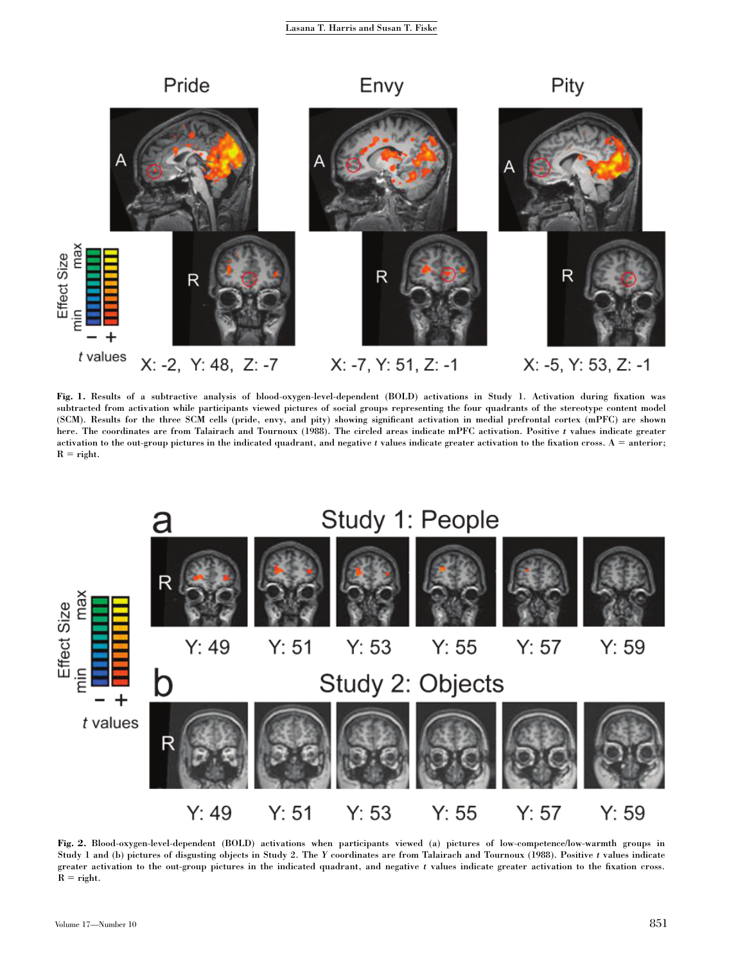

Fig. 1. Results of a subtractive analysis of blood-oxygen-level-dependent (BOLD) activations in Study 1. Activation during fixation was subtracted from activation while participants viewed pictures of social groups representing the four quadrants of the stereotype content model (SCM). Results for the three SCM cells (pride, envy, and pity) showing significant activation in medial prefrontal cortex (mPFC) are shown here. The coordinates are from Talairach and Tournoux (1988). The circled areas indicate mPFC activation. Positive t values indicate greater activation to the out-group pictures in the indicated quadrant, and negative  $t$  values indicate greater activation to the fixation cross.  $A =$  anterior;  $R = right.$ 



Fig. 2. Blood-oxygen-level-dependent (BOLD) activations when participants viewed (a) pictures of low-competence/low-warmth groups in Study 1 and (b) pictures of disgusting objects in Study 2. The Y coordinates are from Talairach and Tournoux (1988). Positive t values indicate greater activation to the out-group pictures in the indicated quadrant, and negative t values indicate greater activation to the fixation cross.  $R = right.$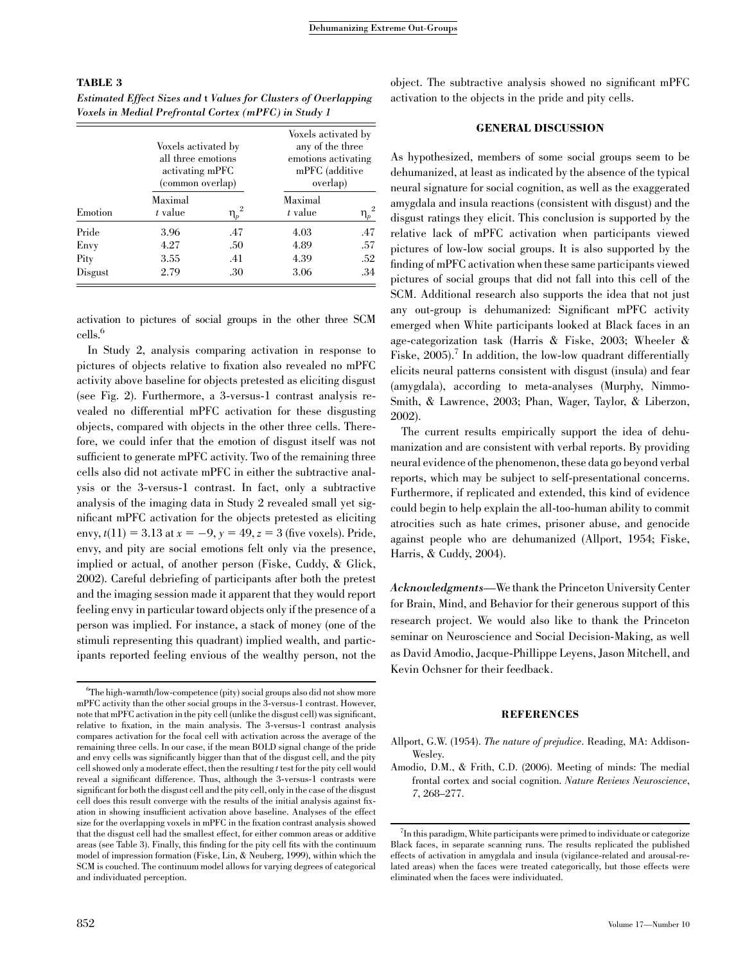#### TABLE 3

Estimated Effect Sizes and t Values for Clusters of Overlapping Voxels in Medial Prefrontal Cortex (mPFC) in Study 1

|         | Voxels activated by<br>all three emotions<br>activating mPFC<br>(common overlap) |                 | Voxels activated by<br>any of the three<br>emotions activating<br>mPFC (additive<br>overlap) |            |
|---------|----------------------------------------------------------------------------------|-----------------|----------------------------------------------------------------------------------------------|------------|
| Emotion | Maximal<br>t value                                                               | $\eta_{_p}{}^2$ | Maximal<br>t value                                                                           | $\eta_p^2$ |
| Pride   | 3.96                                                                             | .47             | 4.03                                                                                         | .47        |
| Envy    | 4.27                                                                             | .50             | 4.89                                                                                         | .57        |
| Pity    | 3.55                                                                             | .41             | 4.39                                                                                         | .52        |
| Disgust | 2.79                                                                             | .30             | 3.06                                                                                         | .34        |

activation to pictures of social groups in the other three SCM cells.6

In Study 2, analysis comparing activation in response to pictures of objects relative to fixation also revealed no mPFC activity above baseline for objects pretested as eliciting disgust (see Fig. 2). Furthermore, a 3-versus-1 contrast analysis revealed no differential mPFC activation for these disgusting objects, compared with objects in the other three cells. Therefore, we could infer that the emotion of disgust itself was not sufficient to generate mPFC activity. Two of the remaining three cells also did not activate mPFC in either the subtractive analysis or the 3-versus-1 contrast. In fact, only a subtractive analysis of the imaging data in Study 2 revealed small yet significant mPFC activation for the objects pretested as eliciting envy,  $t(11) = 3.13$  at  $x = -9$ ,  $y = 49$ ,  $z = 3$  (five voxels). Pride, envy, and pity are social emotions felt only via the presence, implied or actual, of another person (Fiske, Cuddy, & Glick, 2002). Careful debriefing of participants after both the pretest and the imaging session made it apparent that they would report feeling envy in particular toward objects only if the presence of a person was implied. For instance, a stack of money (one of the stimuli representing this quadrant) implied wealth, and participants reported feeling envious of the wealthy person, not the

object. The subtractive analysis showed no significant mPFC activation to the objects in the pride and pity cells.

# GENERAL DISCUSSION

As hypothesized, members of some social groups seem to be dehumanized, at least as indicated by the absence of the typical neural signature for social cognition, as well as the exaggerated amygdala and insula reactions (consistent with disgust) and the disgust ratings they elicit. This conclusion is supported by the relative lack of mPFC activation when participants viewed pictures of low-low social groups. It is also supported by the finding of mPFC activation when these same participants viewed pictures of social groups that did not fall into this cell of the SCM. Additional research also supports the idea that not just any out-group is dehumanized: Significant mPFC activity emerged when White participants looked at Black faces in an age-categorization task (Harris & Fiske, 2003; Wheeler & Fiske,  $2005$ ).<sup>7</sup> In addition, the low-low quadrant differentially elicits neural patterns consistent with disgust (insula) and fear (amygdala), according to meta-analyses (Murphy, Nimmo-Smith, & Lawrence, 2003; Phan, Wager, Taylor, & Liberzon, 2002).

The current results empirically support the idea of dehumanization and are consistent with verbal reports. By providing neural evidence of the phenomenon, these data go beyond verbal reports, which may be subject to self-presentational concerns. Furthermore, if replicated and extended, this kind of evidence could begin to help explain the all-too-human ability to commit atrocities such as hate crimes, prisoner abuse, and genocide against people who are dehumanized (Allport, 1954; Fiske, Harris, & Cuddy, 2004).

Acknowledgments—We thank the Princeton University Center for Brain, Mind, and Behavior for their generous support of this research project. We would also like to thank the Princeton seminar on Neuroscience and Social Decision-Making, as well as David Amodio, Jacque-Phillippe Leyens, Jason Mitchell, and Kevin Ochsner for their feedback.

# **REFERENCES**

- Allport, G.W. (1954). The nature of prejudice. Reading, MA: Addison-Wesley.
- Amodio, D.M., & Frith, C.D. (2006). Meeting of minds: The medial frontal cortex and social cognition. Nature Reviews Neuroscience, 7, 268–277.

<sup>6</sup> The high-warmth/low-competence (pity) social groups also did not show more mPFC activity than the other social groups in the 3-versus-1 contrast. However, note that mPFC activation in the pity cell (unlike the disgust cell) was significant, relative to fixation, in the main analysis. The 3-versus-1 contrast analysis compares activation for the focal cell with activation across the average of the remaining three cells. In our case, if the mean BOLD signal change of the pride and envy cells was significantly bigger than that of the disgust cell, and the pity cell showed only a moderate effect, then the resulting  $t$  test for the pity cell would reveal a significant difference. Thus, although the 3-versus-1 contrasts were significant for both the disgust cell and the pity cell, only in the case of the disgust cell does this result converge with the results of the initial analysis against fixation in showing insufficient activation above baseline. Analyses of the effect size for the overlapping voxels in mPFC in the fixation contrast analysis showed that the disgust cell had the smallest effect, for either common areas or additive areas (see Table 3). Finally, this finding for the pity cell fits with the continuum model of impression formation (Fiske, Lin, & Neuberg, 1999), within which the SCM is couched. The continuum model allows for varying degrees of categorical and individuated perception.

 $^{7}$ In this paradigm, White participants were primed to individuate or categorize Black faces, in separate scanning runs. The results replicated the published effects of activation in amygdala and insula (vigilance-related and arousal-related areas) when the faces were treated categorically, but those effects were eliminated when the faces were individuated.